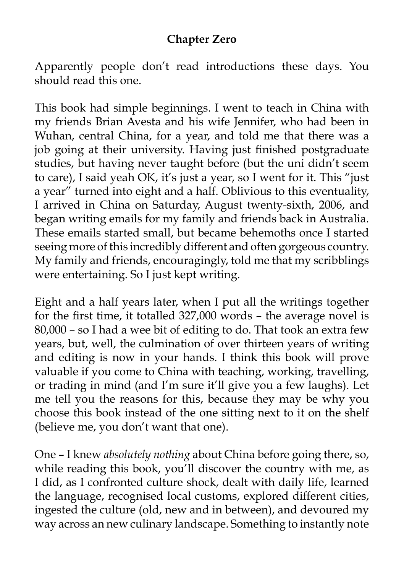## **Chapter Zero**

Apparently people don't read introductions these days. You should read this one.

This book had simple beginnings. I went to teach in China with my friends Brian Avesta and his wife Jennifer, who had been in Wuhan, central China, for a year, and told me that there was a job going at their university. Having just finished postgraduate studies, but having never taught before (but the uni didn't seem to care), I said yeah OK, it's just a year, so I went for it. This "just a year" turned into eight and a half. Oblivious to this eventuality, I arrived in China on Saturday, August twenty-sixth, 2006, and began writing emails for my family and friends back in Australia. These emails started small, but became behemoths once I started seeing more of this incredibly different and often gorgeous country. My family and friends, encouragingly, told me that my scribblings were entertaining. So I just kept writing.

Eight and a half years later, when I put all the writings together for the first time, it totalled 327,000 words – the average novel is 80,000 – so I had a wee bit of editing to do. That took an extra few years, but, well, the culmination of over thirteen years of writing and editing is now in your hands. I think this book will prove valuable if you come to China with teaching, working, travelling, or trading in mind (and I'm sure it'll give you a few laughs). Let me tell you the reasons for this, because they may be why you choose this book instead of the one sitting next to it on the shelf (believe me, you don't want that one).

One – I knew *absolutely nothing* about China before going there, so, while reading this book, you'll discover the country with me, as I did, as I confronted culture shock, dealt with daily life, learned the language, recognised local customs, explored different cities, ingested the culture (old, new and in between), and devoured my way across an new culinary landscape. Something to instantly note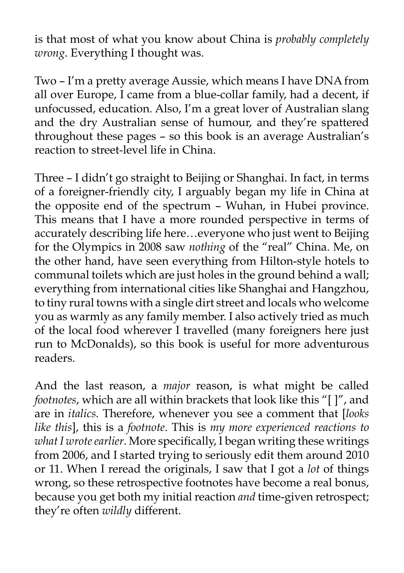is that most of what you know about China is *probably completely wrong*. Everything I thought was.

Two – I'm a pretty average Aussie, which means I have DNA from all over Europe, I came from a blue-collar family, had a decent, if unfocussed, education. Also, I'm a great lover of Australian slang and the dry Australian sense of humour, and they're spattered throughout these pages – so this book is an average Australian's reaction to street-level life in China.

Three – I didn't go straight to Beijing or Shanghai. In fact, in terms of a foreigner-friendly city, I arguably began my life in China at the opposite end of the spectrum – Wuhan, in Hubei province. This means that I have a more rounded perspective in terms of accurately describing life here…everyone who just went to Beijing for the Olympics in 2008 saw *nothing* of the "real" China. Me, on the other hand, have seen everything from Hilton-style hotels to communal toilets which are just holes in the ground behind a wall; everything from international cities like Shanghai and Hangzhou, to tiny rural towns with a single dirt street and locals who welcome you as warmly as any family member. I also actively tried as much of the local food wherever I travelled (many foreigners here just run to McDonalds), so this book is useful for more adventurous readers.

And the last reason, a *major* reason, is what might be called *footnotes*, which are all within brackets that look like this "[ ]", and are in *italics.* Therefore, whenever you see a comment that [*looks like this*], this is a *footnote*. This is *my more experienced reactions to what I wrote earlier*. More specifically, I began writing these writings from 2006, and I started trying to seriously edit them around 2010 or 11. When I reread the originals, I saw that I got a *lot* of things wrong, so these retrospective footnotes have become a real bonus, because you get both my initial reaction *and* time-given retrospect; they're often *wildly* different.